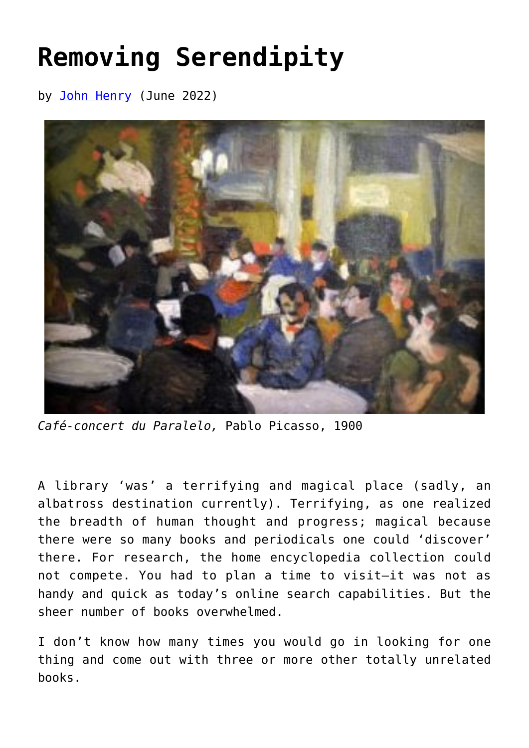## **[Removing Serendipity](https://www.newenglishreview.org/articles/removing-serendipity/)**

by [John Henry](https://www.newenglishreview.org/authors/john-henry/?) (June 2022)



*Café-concert du Paralelo,* Pablo Picasso, 1900

A library 'was' a terrifying and magical place (sadly, an albatross destination currently). Terrifying, as one realized the breadth of human thought and progress; magical because there were so many books and periodicals one could 'discover' there. For research, the home encyclopedia collection could not compete. You had to plan a time to visit—it was not as handy and quick as today's online search capabilities. But the sheer number of books overwhelmed.

I don't know how many times you would go in looking for one thing and come out with three or more other totally unrelated books.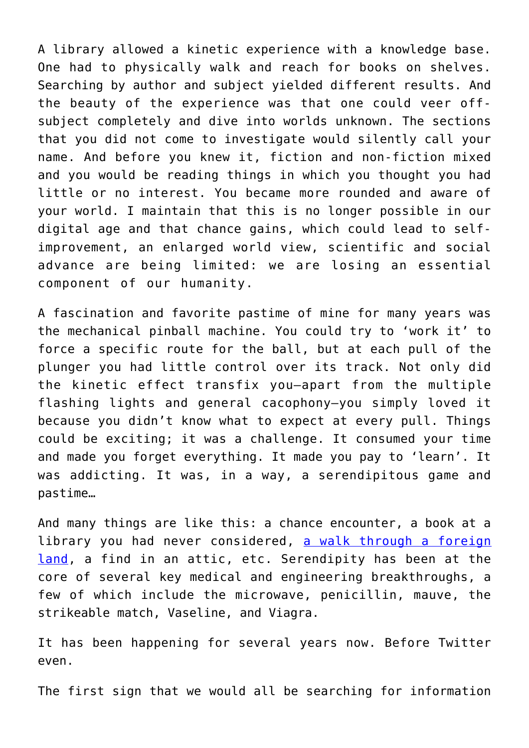A library allowed a kinetic experience with a knowledge base. One had to physically walk and reach for books on shelves. Searching by author and subject yielded different results. And the beauty of the experience was that one could veer offsubject completely and dive into worlds unknown. The sections that you did not come to investigate would silently call your name. And before you knew it, fiction and non-fiction mixed and you would be reading things in which you thought you had little or no interest. You became more rounded and aware of your world. I maintain that this is no longer possible in our digital age and that chance gains, which could lead to selfimprovement, an enlarged world view, scientific and social advance are being limited: we are losing an essential component of our humanity.

A fascination and favorite pastime of mine for many years was the mechanical pinball machine. You could try to 'work it' to force a specific route for the ball, but at each pull of the plunger you had little control over its track. Not only did the kinetic effect transfix you—apart from the multiple flashing lights and general cacophony—you simply loved it because you didn't know what to expect at every pull. Things could be exciting; it was a challenge. It consumed your time and made you forget everything. It made you pay to 'learn'. It was addicting. It was, in a way, a serendipitous game and pastime…

And many things are like this: a chance encounter, a book at a library you had never considered, [a walk through a foreign](https://www.newenglishreview.org/articles/the-thrill-of-the-chase-philately/) [land](https://www.newenglishreview.org/articles/the-thrill-of-the-chase-philately/), a find in an attic, etc. Serendipity has been at the core of several key medical and engineering breakthroughs, a few of which include the microwave, penicillin, mauve, the strikeable match, Vaseline, and Viagra.

It has been happening for several years now. Before Twitter even.

The first sign that we would all be searching for information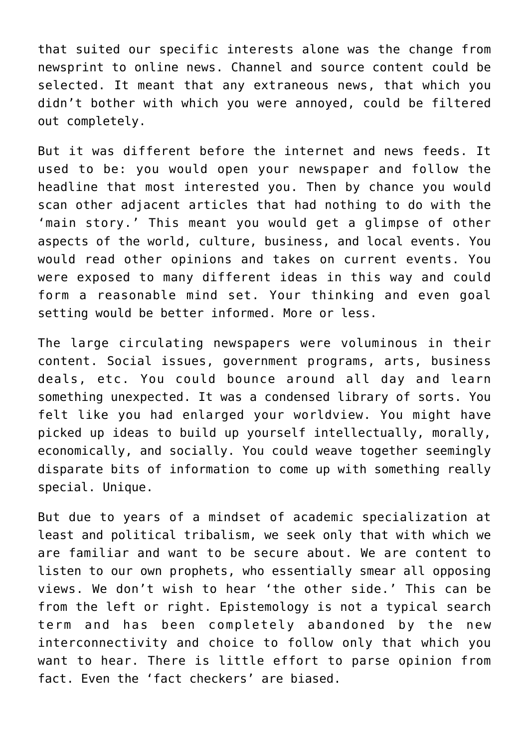that suited our specific interests alone was the change from newsprint to online news. Channel and source content could be selected. It meant that any extraneous news, that which you didn't bother with which you were annoyed, could be filtered out completely.

But it was different before the internet and news feeds. It used to be: you would open your newspaper and follow the headline that most interested you. Then by chance you would scan other adjacent articles that had nothing to do with the 'main story.' This meant you would get a glimpse of other aspects of the world, culture, business, and local events. You would read other opinions and takes on current events. You were exposed to many different ideas in this way and could form a reasonable mind set. Your thinking and even goal setting would be better informed. More or less.

The large circulating newspapers were voluminous in their content. Social issues, government programs, arts, business deals, etc. You could bounce around all day and learn something unexpected. It was a condensed library of sorts. You felt like you had enlarged your worldview. You might have picked up ideas to build up yourself intellectually, morally, economically, and socially. You could weave together seemingly disparate bits of information to come up with something really special. Unique.

But due to years of a mindset of academic specialization at least and political tribalism, we seek only that with which we are familiar and want to be secure about. We are content to listen to our own prophets, who essentially smear all opposing views. We don't wish to hear 'the other side.' This can be from the left or right. Epistemology is not a typical search term and has been completely abandoned by the new interconnectivity and choice to follow only that which you want to hear. There is little effort to parse opinion from fact. Even the 'fact checkers' are biased.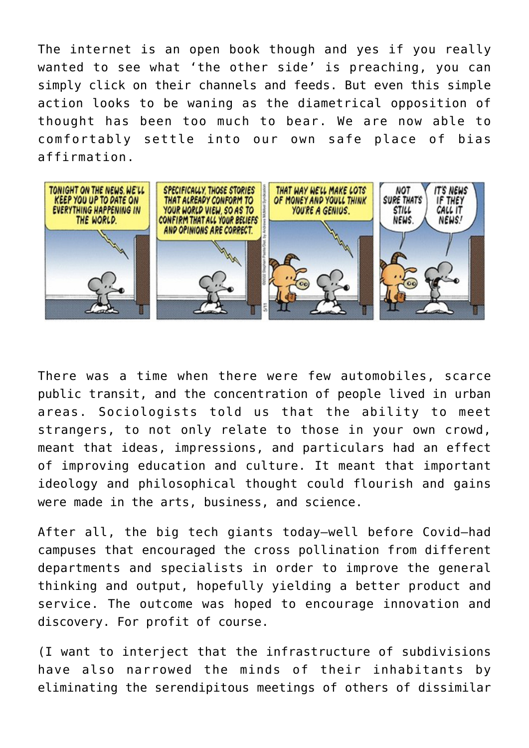The internet is an open book though and yes if you really wanted to see what 'the other side' is preaching, you can simply click on their channels and feeds. But even this simple action looks to be waning as the diametrical opposition of thought has been too much to bear. We are now able to comfortably settle into our own safe place of bias affirmation.



There was a time when there were few automobiles, scarce public transit, and the concentration of people lived in urban areas. Sociologists told us that the ability to meet strangers, to not only relate to those in your own crowd, meant that ideas, impressions, and particulars had an effect of improving education and culture. It meant that important ideology and philosophical thought could flourish and gains were made in the arts, business, and science.

After all, the big tech giants today—well before Covid—had campuses that encouraged the cross pollination from different departments and specialists in order to improve the general thinking and output, hopefully yielding a better product and service. The outcome was hoped to encourage innovation and discovery. For profit of course.

(I want to interject that the infrastructure of subdivisions have also narrowed the minds of their inhabitants by eliminating the serendipitous meetings of others of dissimilar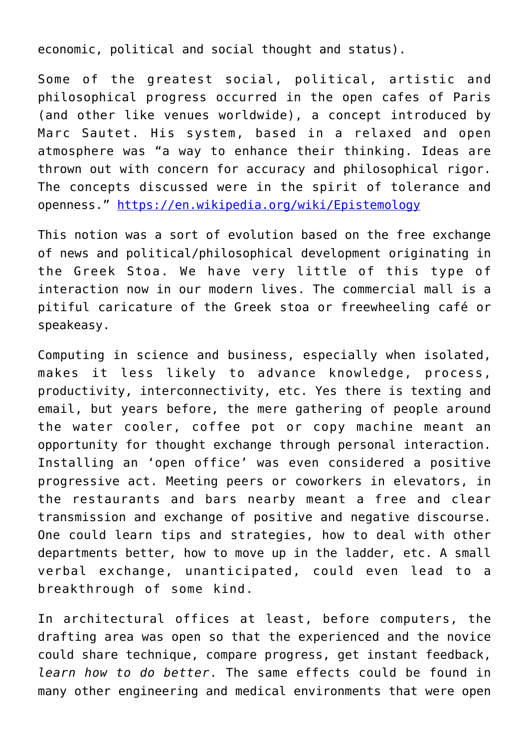economic, political and social thought and status).

Some of the greatest social, political, artistic and philosophical progress occurred in the open cafes of Paris (and other like venues worldwide), a concept introduced by Marc Sautet. His system, based in a relaxed and open atmosphere was "a way to enhance their thinking. Ideas are thrown out with concern for accuracy and philosophical rigor. The concepts discussed were in the spirit of tolerance and openness." <https://en.wikipedia.org/wiki/Epistemology>

This notion was a sort of evolution based on the free exchange of news and political/philosophical development originating in the Greek Stoa. We have very little of this type of interaction now in our modern lives. The commercial mall is a pitiful caricature of the Greek stoa or freewheeling café or speakeasy.

Computing in science and business, especially when isolated, makes it less likely to advance knowledge, process, productivity, interconnectivity, etc. Yes there is texting and email, but years before, the mere gathering of people around the water cooler, coffee pot or copy machine meant an opportunity for thought exchange through personal interaction. Installing an 'open office' was even considered a positive progressive act. Meeting peers or coworkers in elevators, in the restaurants and bars nearby meant a free and clear transmission and exchange of positive and negative discourse. One could learn tips and strategies, how to deal with other departments better, how to move up in the ladder, etc. A small verbal exchange, unanticipated, could even lead to a breakthrough of some kind.

In architectural offices at least, before computers, the drafting area was open so that the experienced and the novice could share technique, compare progress, get instant feedback, *learn how to do better*. The same effects could be found in many other engineering and medical environments that were open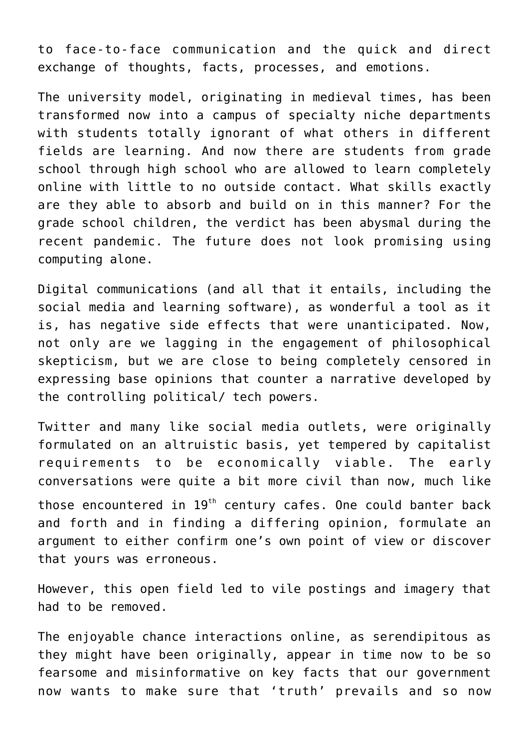to face-to-face communication and the quick and direct exchange of thoughts, facts, processes, and emotions.

The university model, originating in medieval times, has been transformed now into a campus of specialty niche departments with students totally ignorant of what others in different fields are learning. And now there are students from grade school through high school who are allowed to learn completely online with little to no outside contact. What skills exactly are they able to absorb and build on in this manner? For the grade school children, the verdict has been abysmal during the recent pandemic. The future does not look promising using computing alone.

Digital communications (and all that it entails, including the social media and learning software), as wonderful a tool as it is, has negative side effects that were unanticipated. Now, not only are we lagging in the engagement of philosophical skepticism, but we are close to being completely censored in expressing base opinions that counter a narrative developed by the controlling political/ tech powers.

Twitter and many like social media outlets, were originally formulated on an altruistic basis, yet tempered by capitalist requirements to be economically viable. The early conversations were quite a bit more civil than now, much like those encountered in 19<sup>th</sup> century cafes. One could banter back and forth and in finding a differing opinion, formulate an argument to either confirm one's own point of view or discover that yours was erroneous.

However, this open field led to vile postings and imagery that had to be removed.

The enjoyable chance interactions online, as serendipitous as they might have been originally, appear in time now to be so fearsome and misinformative on key facts that our government now wants to make sure that 'truth' prevails and so now